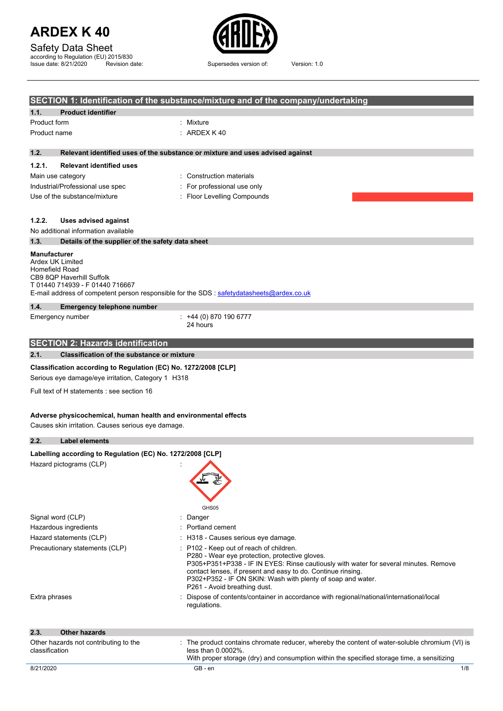| Safety Data Sheet |
|-------------------|
|-------------------|

according to Regulation (EU) 2015/830 Issue date: 8/21/2020 Revision date: Supersedes version of: Version: 1.0



|                                                                                                                                                                                                                        | SECTION 1: Identification of the substance/mixture and of the company/undertaking                                                                                                                                                                                                                                                              |  |  |
|------------------------------------------------------------------------------------------------------------------------------------------------------------------------------------------------------------------------|------------------------------------------------------------------------------------------------------------------------------------------------------------------------------------------------------------------------------------------------------------------------------------------------------------------------------------------------|--|--|
| <b>Product identifier</b><br>1.1.                                                                                                                                                                                      |                                                                                                                                                                                                                                                                                                                                                |  |  |
| Product form                                                                                                                                                                                                           | Mixture                                                                                                                                                                                                                                                                                                                                        |  |  |
| Product name                                                                                                                                                                                                           | ARDEX K40                                                                                                                                                                                                                                                                                                                                      |  |  |
| 1.2.                                                                                                                                                                                                                   | Relevant identified uses of the substance or mixture and uses advised against                                                                                                                                                                                                                                                                  |  |  |
| 1.2.1.<br><b>Relevant identified uses</b>                                                                                                                                                                              |                                                                                                                                                                                                                                                                                                                                                |  |  |
| Main use category                                                                                                                                                                                                      | : Construction materials                                                                                                                                                                                                                                                                                                                       |  |  |
| Industrial/Professional use spec                                                                                                                                                                                       | For professional use only                                                                                                                                                                                                                                                                                                                      |  |  |
| Use of the substance/mixture                                                                                                                                                                                           | Floor Levelling Compounds                                                                                                                                                                                                                                                                                                                      |  |  |
| 1.2.2.<br><b>Uses advised against</b>                                                                                                                                                                                  |                                                                                                                                                                                                                                                                                                                                                |  |  |
| No additional information available                                                                                                                                                                                    |                                                                                                                                                                                                                                                                                                                                                |  |  |
| Details of the supplier of the safety data sheet<br>1.3.                                                                                                                                                               |                                                                                                                                                                                                                                                                                                                                                |  |  |
| <b>Manufacturer</b><br>Ardex UK Limited<br>Homefield Road<br>CB9 8QP Haverhill Suffolk<br>T 01440 714939 - F 01440 716667<br>E-mail address of competent person responsible for the SDS : safetydatasheets@ardex.co.uk |                                                                                                                                                                                                                                                                                                                                                |  |  |
| 1.4.<br><b>Emergency telephone number</b>                                                                                                                                                                              |                                                                                                                                                                                                                                                                                                                                                |  |  |
| Emergency number                                                                                                                                                                                                       | $: +44(0)8701906777$<br>24 hours                                                                                                                                                                                                                                                                                                               |  |  |
| <b>SECTION 2: Hazards identification</b>                                                                                                                                                                               |                                                                                                                                                                                                                                                                                                                                                |  |  |
| 2.1.<br><b>Classification of the substance or mixture</b>                                                                                                                                                              |                                                                                                                                                                                                                                                                                                                                                |  |  |
| Classification according to Regulation (EC) No. 1272/2008 [CLP]<br>Serious eye damage/eye irritation, Category 1 H318                                                                                                  |                                                                                                                                                                                                                                                                                                                                                |  |  |
| Full text of H statements : see section 16                                                                                                                                                                             |                                                                                                                                                                                                                                                                                                                                                |  |  |
| Adverse physicochemical, human health and environmental effects<br>Causes skin irritation. Causes serious eye damage.<br>2.2.<br>Label elements                                                                        |                                                                                                                                                                                                                                                                                                                                                |  |  |
| Labelling according to Regulation (EC) No. 1272/2008 [CLP]                                                                                                                                                             |                                                                                                                                                                                                                                                                                                                                                |  |  |
| Hazard pictograms (CLP)                                                                                                                                                                                                | GHS05                                                                                                                                                                                                                                                                                                                                          |  |  |
| Signal word (CLP)                                                                                                                                                                                                      | Danger                                                                                                                                                                                                                                                                                                                                         |  |  |
| Hazardous ingredients                                                                                                                                                                                                  | Portland cement                                                                                                                                                                                                                                                                                                                                |  |  |
| Hazard statements (CLP)                                                                                                                                                                                                | H318 - Causes serious eye damage.                                                                                                                                                                                                                                                                                                              |  |  |
| Precautionary statements (CLP)                                                                                                                                                                                         | P102 - Keep out of reach of children.<br>P280 - Wear eye protection, protective gloves.<br>P305+P351+P338 - IF IN EYES: Rinse cautiously with water for several minutes. Remove<br>contact lenses, if present and easy to do. Continue rinsing.<br>P302+P352 - IF ON SKIN: Wash with plenty of soap and water.<br>P261 - Avoid breathing dust. |  |  |
| Extra phrases                                                                                                                                                                                                          | Dispose of contents/container in accordance with regional/national/international/local<br>regulations.                                                                                                                                                                                                                                         |  |  |
| <b>Other hazards</b><br>2.3.                                                                                                                                                                                           |                                                                                                                                                                                                                                                                                                                                                |  |  |
| Other hazards not contributing to the<br>classification                                                                                                                                                                | The product contains chromate reducer, whereby the content of water-soluble chromium (VI) is<br>less than 0.0002%.<br>With proper storage (dry) and consumption within the specified storage time, a sensitizing                                                                                                                               |  |  |
| 8/21/2020                                                                                                                                                                                                              | GB-en<br>1/8                                                                                                                                                                                                                                                                                                                                   |  |  |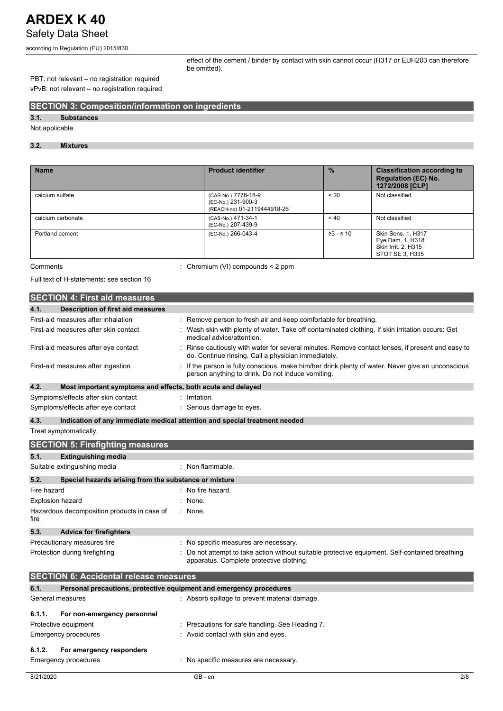according to Regulation (EU) 2015/830

effect of the cement / binder by contact with skin cannot occur (H317 or EUH203 can therefore be omitted).

### PBT: not relevant – no registration required vPvB: not relevant – no registration required

### **SECTION 3: Composition/information on ingredients**

### **3.1. Substances**

Not applicable

### **3.2. Mixtures**

| <b>Name</b>       | <b>Product identifier</b>                                                | $\frac{0}{0}$  | <b>Classification according to</b><br><b>Regulation (EC) No.</b><br>1272/2008 [CLP] |
|-------------------|--------------------------------------------------------------------------|----------------|-------------------------------------------------------------------------------------|
| calcium sulfate   | (CAS-No.) 7778-18-9<br>(EC-No.) 231-900-3<br>(REACH-no) 01-2119444918-26 | < 20           | Not classified                                                                      |
| calcium carbonate | (CAS-No.) 471-34-1<br>(EC-No.) 207-439-9                                 | < 40           | Not classified                                                                      |
| Portland cement   | (EC-No.) 266-043-4                                                       | $\geq 3 - 510$ | Skin Sens. 1, H317<br>Eye Dam. 1, H318<br>Skin Irrit. 2, H315<br>STOT SE 3. H335    |

Comments : Chromium (VI) compounds < 2 ppm

Full text of H-statements: see section 16

|                  | <b>SECTION 4: First aid measures</b>                                |                                                                                                                                                       |
|------------------|---------------------------------------------------------------------|-------------------------------------------------------------------------------------------------------------------------------------------------------|
|                  |                                                                     |                                                                                                                                                       |
| 4.1.             | Description of first aid measures                                   |                                                                                                                                                       |
|                  | First-aid measures after inhalation                                 | : Remove person to fresh air and keep comfortable for breathing.                                                                                      |
|                  | First-aid measures after skin contact                               | Wash skin with plenty of water. Take off contaminated clothing. If skin irritation occurs: Get<br>medical advice/attention.                           |
|                  | First-aid measures after eye contact                                | Rinse cautiously with water for several minutes. Remove contact lenses, if present and easy to<br>do. Continue rinsing. Call a physician immediately. |
|                  | First-aid measures after ingestion                                  | If the person is fully conscious, make him/her drink plenty of water. Never give an unconscious<br>person anything to drink. Do not induce vomiting.  |
| 4.2.             | Most important symptoms and effects, both acute and delayed         |                                                                                                                                                       |
|                  | Symptoms/effects after skin contact                                 | Irritation.                                                                                                                                           |
|                  | Symptoms/effects after eye contact                                  | Serious damage to eyes.                                                                                                                               |
| 4.3.             |                                                                     | Indication of any immediate medical attention and special treatment needed                                                                            |
|                  | Treat symptomatically.                                              |                                                                                                                                                       |
|                  | <b>SECTION 5: Firefighting measures</b>                             |                                                                                                                                                       |
| 5.1.             | <b>Extinguishing media</b>                                          |                                                                                                                                                       |
|                  | Suitable extinguishing media                                        | : Non flammable.                                                                                                                                      |
| 5.2.             | Special hazards arising from the substance or mixture               |                                                                                                                                                       |
| Fire hazard      |                                                                     | No fire hazard.                                                                                                                                       |
| Explosion hazard |                                                                     | None.                                                                                                                                                 |
| fire             | Hazardous decomposition products in case of                         | : None.                                                                                                                                               |
| 5.3.             | <b>Advice for firefighters</b>                                      |                                                                                                                                                       |
|                  | Precautionary measures fire                                         | No specific measures are necessary.                                                                                                                   |
|                  | Protection during firefighting                                      | Do not attempt to take action without suitable protective equipment. Self-contained breathing<br>apparatus. Complete protective clothing.             |
|                  | <b>SECTION 6: Accidental release measures</b>                       |                                                                                                                                                       |
| 6.1.             | Personal precautions, protective equipment and emergency procedures |                                                                                                                                                       |
| General measures |                                                                     | : Absorb spillage to prevent material damage.                                                                                                         |
| 6.1.1.           | For non-emergency personnel                                         |                                                                                                                                                       |
|                  | Protective equipment                                                | Precautions for safe handling. See Heading 7.                                                                                                         |
|                  | <b>Emergency procedures</b>                                         | Avoid contact with skin and eyes.                                                                                                                     |
| 6.1.2.           | For emergency responders                                            |                                                                                                                                                       |
|                  | <b>Emergency procedures</b>                                         | : No specific measures are necessary.                                                                                                                 |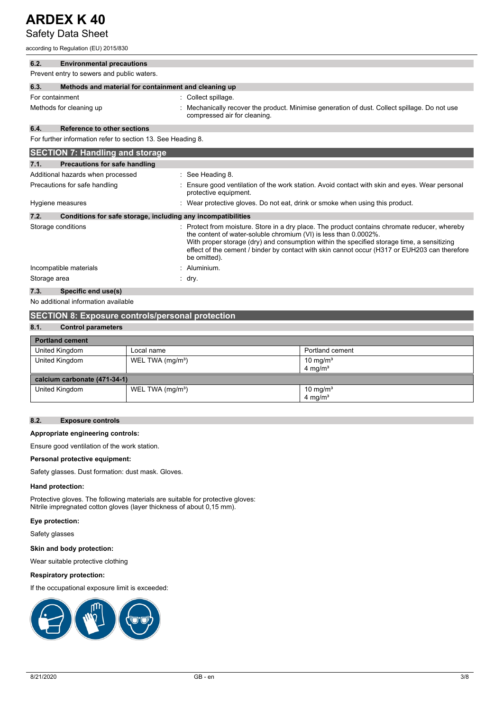### Safety Data Sheet

according to Regulation (EU) 2015/830

| 6.2.            | <b>Environmental precautions</b>                             |                                                                                                                                                                                                                                                                                                                                                                                |
|-----------------|--------------------------------------------------------------|--------------------------------------------------------------------------------------------------------------------------------------------------------------------------------------------------------------------------------------------------------------------------------------------------------------------------------------------------------------------------------|
|                 | Prevent entry to sewers and public waters.                   |                                                                                                                                                                                                                                                                                                                                                                                |
| 6.3.            | Methods and material for containment and cleaning up         |                                                                                                                                                                                                                                                                                                                                                                                |
| For containment |                                                              | Collect spillage.                                                                                                                                                                                                                                                                                                                                                              |
|                 | Methods for cleaning up                                      | Mechanically recover the product. Minimise generation of dust. Collect spillage. Do not use<br>compressed air for cleaning.                                                                                                                                                                                                                                                    |
| 6.4.            | <b>Reference to other sections</b>                           |                                                                                                                                                                                                                                                                                                                                                                                |
|                 | For further information refer to section 13. See Heading 8.  |                                                                                                                                                                                                                                                                                                                                                                                |
|                 | <b>SECTION 7: Handling and storage</b>                       |                                                                                                                                                                                                                                                                                                                                                                                |
| 7.1.            | Precautions for safe handling                                |                                                                                                                                                                                                                                                                                                                                                                                |
|                 | Additional hazards when processed                            | See Heading 8.                                                                                                                                                                                                                                                                                                                                                                 |
|                 | Precautions for safe handling                                | Ensure good ventilation of the work station. Avoid contact with skin and eyes. Wear personal<br>protective equipment.                                                                                                                                                                                                                                                          |
|                 | Hygiene measures                                             | Wear protective gloves. Do not eat, drink or smoke when using this product.                                                                                                                                                                                                                                                                                                    |
| 7.2.            | Conditions for safe storage, including any incompatibilities |                                                                                                                                                                                                                                                                                                                                                                                |
|                 | Storage conditions                                           | Protect from moisture. Store in a dry place. The product contains chromate reducer, whereby<br>the content of water-soluble chromium (VI) is less than 0.0002%.<br>With proper storage (dry) and consumption within the specified storage time, a sensitizing<br>effect of the cement / binder by contact with skin cannot occur (H317 or EUH203 can therefore<br>be omitted). |
|                 | Incompatible materials                                       | Aluminium.                                                                                                                                                                                                                                                                                                                                                                     |
| Storage area    |                                                              | dry.                                                                                                                                                                                                                                                                                                                                                                           |
| 7.3.            | Specific end use(s)                                          |                                                                                                                                                                                                                                                                                                                                                                                |
|                 | No additional information available                          |                                                                                                                                                                                                                                                                                                                                                                                |
|                 | <b>SECTION 8: Exposure controls/personal protection</b>      |                                                                                                                                                                                                                                                                                                                                                                                |

### **8.1. Control parameters Portland cement** United Kingdom Local name Portland cement United Kingdom WEL TWA (mg/m<sup>3</sup>) 10 mg/m<sup>3</sup>  $4 \text{ mg/m}^3$ **calcium carbonate (471-34-1)** United Kingdom WEL TWA (mg/m<sup>3</sup>) 10 mg/m<sup>3</sup>  $4 \, \text{mg/m}^3$

### **8.2. Exposure controls**

#### **Appropriate engineering controls:**

Ensure good ventilation of the work station.

#### **Personal protective equipment:**

Safety glasses. Dust formation: dust mask. Gloves.

#### **Hand protection:**

Protective gloves. The following materials are suitable for protective gloves: Nitrile impregnated cotton gloves (layer thickness of about 0,15 mm).

#### **Eye protection:**

Safety glasses

### **Skin and body protection:**

Wear suitable protective clothing

### **Respiratory protection:**

If the occupational exposure limit is exceeded:

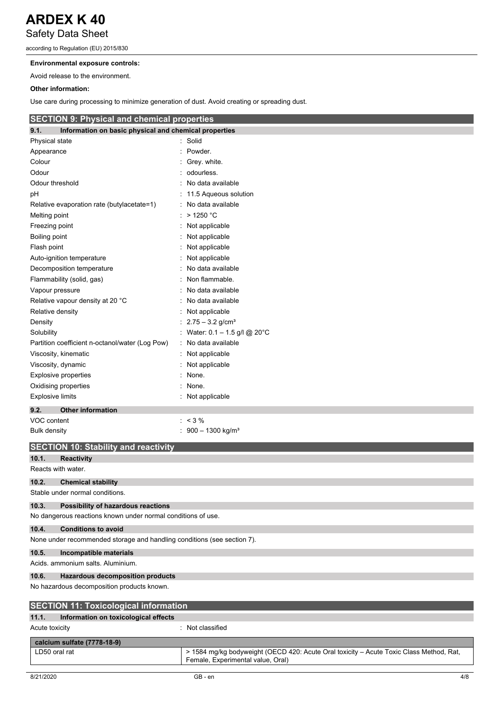according to Regulation (EU) 2015/830

### **Environmental exposure controls:**

Avoid release to the environment.

### **Other information:**

Use care during processing to minimize generation of dust. Avoid creating or spreading dust.

### **SECTION 9: Physical and chemical properties**

| 9.1.<br>Information on basic physical and chemical properties |                                  |
|---------------------------------------------------------------|----------------------------------|
| Physical state                                                | : Solid                          |
| Appearance                                                    | Powder.                          |
| Colour                                                        | Grey. white.                     |
| Odour                                                         | odourless.                       |
| Odour threshold                                               | No data available                |
| pH                                                            | 11.5 Aqueous solution            |
| Relative evaporation rate (butylacetate=1)                    | No data available                |
| Melting point                                                 | $>1250$ °C                       |
| Freezing point                                                | Not applicable                   |
| Boiling point                                                 | Not applicable                   |
| Flash point                                                   | Not applicable                   |
| Auto-ignition temperature                                     | Not applicable                   |
| Decomposition temperature                                     | No data available                |
| Flammability (solid, gas)                                     | Non flammable.                   |
| Vapour pressure                                               | No data available                |
| Relative vapour density at 20 °C                              | No data available                |
| Relative density                                              | Not applicable                   |
| Density                                                       | : $2.75 - 3.2$ g/cm <sup>3</sup> |
| Solubility                                                    | : Water: $0.1 - 1.5$ g/l @ 20°C  |
| Partition coefficient n-octanol/water (Log Pow)               | : No data available              |
| Viscosity, kinematic                                          | Not applicable                   |
| Viscosity, dynamic                                            | Not applicable                   |
| <b>Explosive properties</b>                                   | None.                            |
| Oxidising properties                                          | None.                            |
| <b>Explosive limits</b>                                       | : Not applicable                 |
| <b>Other information</b><br>9.2.                              |                                  |
| VOC content                                                   | $: 3\%$                          |
| <b>Bulk density</b>                                           | : $900 - 1300$ kg/m <sup>3</sup> |
| <b>SECTION 10: Stability and reactivity</b>                   |                                  |
| 10.1.<br><b>Reactivity</b>                                    |                                  |
| Reacts with water.                                            |                                  |
| 10.2.<br><b>Chemical stability</b>                            |                                  |
| Stable under normal conditions.                               |                                  |
| 10.3.<br>Possibility of hazardous reactions                   |                                  |
|                                                               |                                  |

### No dangerous reactions known under normal conditions of use.

**10.4. Conditions to avoid** None under recommended storage and handling conditions (see section 7).

### **10.5. Incompatible materials**

Acids. ammonium salts. Aluminium.

### **10.6. Hazardous decomposition products**

No hazardous decomposition products known.

| <b>SECTION 11: Toxicological information</b>  |                                                                                                                              |  |
|-----------------------------------------------|------------------------------------------------------------------------------------------------------------------------------|--|
| 11.1.<br>Information on toxicological effects |                                                                                                                              |  |
| Acute toxicity                                | : Not classified                                                                                                             |  |
| calcium sulfate (7778-18-9)                   |                                                                                                                              |  |
| LD50 oral rat                                 | > 1584 mg/kg bodyweight (OECD 420: Acute Oral toxicity – Acute Toxic Class Method, Rat,<br>Female, Experimental value, Oral) |  |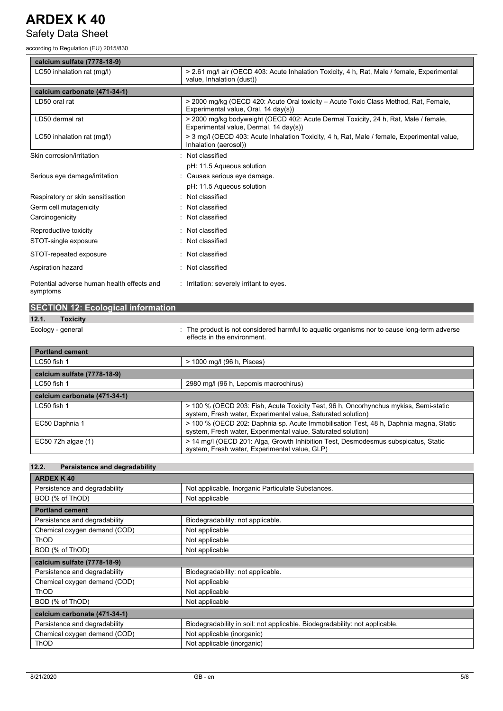## Safety Data Sheet

according to Regulation (EU) 2015/830

| calcium sulfate (7778-18-9)                            |                                                                                                                               |
|--------------------------------------------------------|-------------------------------------------------------------------------------------------------------------------------------|
| LC50 inhalation rat (mg/l)                             | > 2.61 mg/l air (OECD 403: Acute Inhalation Toxicity, 4 h, Rat, Male / female, Experimental<br>value, Inhalation (dust))      |
| calcium carbonate (471-34-1)                           |                                                                                                                               |
| LD50 oral rat                                          | > 2000 mg/kg (OECD 420: Acute Oral toxicity – Acute Toxic Class Method, Rat, Female,<br>Experimental value, Oral, 14 day(s))  |
| LD50 dermal rat                                        | > 2000 mg/kg bodyweight (OECD 402: Acute Dermal Toxicity, 24 h, Rat, Male / female,<br>Experimental value, Dermal, 14 day(s)) |
| LC50 inhalation rat (mg/l)                             | > 3 mg/l (OECD 403: Acute Inhalation Toxicity, 4 h, Rat, Male / female, Experimental value,<br>Inhalation (aerosol))          |
| Skin corrosion/irritation                              | Not classified                                                                                                                |
|                                                        | pH: 11.5 Agueous solution                                                                                                     |
| Serious eye damage/irritation                          | Causes serious eye damage.                                                                                                    |
|                                                        | pH: 11.5 Aqueous solution                                                                                                     |
| Respiratory or skin sensitisation                      | Not classified                                                                                                                |
| Germ cell mutagenicity                                 | Not classified                                                                                                                |
| Carcinogenicity                                        | Not classified                                                                                                                |
| Reproductive toxicity                                  | : Not classified                                                                                                              |
| STOT-single exposure                                   | Not classified                                                                                                                |
| STOT-repeated exposure                                 | Not classified                                                                                                                |
| Aspiration hazard                                      | Not classified                                                                                                                |
| Potential adverse human health effects and<br>symptoms | : Irritation: severely irritant to eyes.                                                                                      |

| <b>SECTION 12: Ecological information</b> |                                                                                                                            |
|-------------------------------------------|----------------------------------------------------------------------------------------------------------------------------|
| 12.1.<br><b>Toxicity</b>                  |                                                                                                                            |
| Ecology - general                         | : The product is not considered harmful to aquatic organisms nor to cause long-term adverse<br>effects in the environment. |
| <b>Portland cement</b>                    |                                                                                                                            |
| LC50 fish 1                               | > 1000 mg/l (96 h, Pisces)                                                                                                 |
| calcium sulfate (7778-18-9)               |                                                                                                                            |

| LC50 fish 1                  | 2980 mg/l (96 h, Lepomis macrochirus)                                                                                                                 |
|------------------------------|-------------------------------------------------------------------------------------------------------------------------------------------------------|
| calcium carbonate (471-34-1) |                                                                                                                                                       |
| $LC50$ fish 1                | > 100 % (OECD 203: Fish, Acute Toxicity Test, 96 h, Oncorhynchus mykiss, Semi-static<br>system, Fresh water, Experimental value, Saturated solution)  |
| EC50 Daphnia 1               | > 100 % (OECD 202: Daphnia sp. Acute Immobilisation Test, 48 h, Daphnia magna, Static<br>system, Fresh water, Experimental value, Saturated solution) |
| EC50 72h algae (1)           | > 14 mg/l (OECD 201: Alga, Growth Inhibition Test, Desmodesmus subspicatus, Static<br>system, Fresh water, Experimental value, GLP)                   |

### **12.2. Persistence and degradability**

| <b>ARDEX K40</b>              |                                                                             |  |  |  |
|-------------------------------|-----------------------------------------------------------------------------|--|--|--|
| Persistence and degradability | Not applicable. Inorganic Particulate Substances.                           |  |  |  |
| BOD (% of ThOD)               | Not applicable                                                              |  |  |  |
| <b>Portland cement</b>        |                                                                             |  |  |  |
| Persistence and degradability | Biodegradability: not applicable.                                           |  |  |  |
| Chemical oxygen demand (COD)  | Not applicable                                                              |  |  |  |
| <b>ThOD</b>                   | Not applicable                                                              |  |  |  |
| BOD (% of ThOD)               | Not applicable                                                              |  |  |  |
| calcium sulfate (7778-18-9)   |                                                                             |  |  |  |
| Persistence and degradability | Biodegradability: not applicable.                                           |  |  |  |
| Chemical oxygen demand (COD)  | Not applicable                                                              |  |  |  |
| <b>ThOD</b>                   | Not applicable                                                              |  |  |  |
| BOD (% of ThOD)               | Not applicable                                                              |  |  |  |
| calcium carbonate (471-34-1)  |                                                                             |  |  |  |
| Persistence and degradability | Biodegradability in soil: not applicable. Biodegradability: not applicable. |  |  |  |
| Chemical oxygen demand (COD)  | Not applicable (inorganic)                                                  |  |  |  |
| <b>ThOD</b>                   | Not applicable (inorganic)                                                  |  |  |  |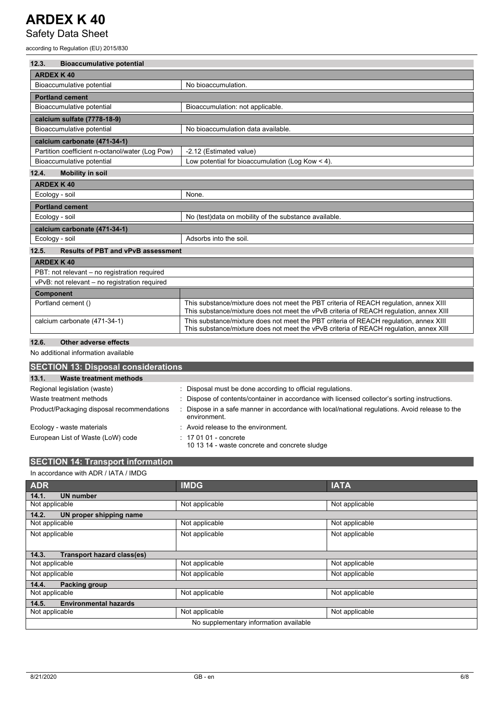Safety Data Sheet

according to Regulation (EU) 2015/830

| <b>Bioaccumulative potential</b><br>12.3.          |                                                                                                                                                                                 |  |
|----------------------------------------------------|---------------------------------------------------------------------------------------------------------------------------------------------------------------------------------|--|
| <b>ARDEX K40</b>                                   |                                                                                                                                                                                 |  |
| Bioaccumulative potential                          | No bioaccumulation.                                                                                                                                                             |  |
| <b>Portland cement</b>                             |                                                                                                                                                                                 |  |
| Bioaccumulative potential                          | Bioaccumulation: not applicable.                                                                                                                                                |  |
| calcium sulfate (7778-18-9)                        |                                                                                                                                                                                 |  |
| Bioaccumulative potential                          | No bioaccumulation data available.                                                                                                                                              |  |
| calcium carbonate (471-34-1)                       |                                                                                                                                                                                 |  |
| Partition coefficient n-octanol/water (Log Pow)    | -2.12 (Estimated value)                                                                                                                                                         |  |
| Bioaccumulative potential                          | Low potential for bioaccumulation (Log Kow $\leq 4$ ).                                                                                                                          |  |
| 12.4.<br><b>Mobility in soil</b>                   |                                                                                                                                                                                 |  |
| <b>ARDEX K40</b>                                   |                                                                                                                                                                                 |  |
| Ecology - soil                                     | None.                                                                                                                                                                           |  |
| <b>Portland cement</b>                             |                                                                                                                                                                                 |  |
| Ecology - soil                                     | No (test)data on mobility of the substance available.                                                                                                                           |  |
| calcium carbonate (471-34-1)                       |                                                                                                                                                                                 |  |
| Ecology - soil                                     | Adsorbs into the soil.                                                                                                                                                          |  |
| <b>Results of PBT and vPvB assessment</b><br>12.5. |                                                                                                                                                                                 |  |
| <b>ARDEX K40</b>                                   |                                                                                                                                                                                 |  |
| PBT: not relevant - no registration required       |                                                                                                                                                                                 |  |
| vPvB: not relevant - no registration required      |                                                                                                                                                                                 |  |
| <b>Component</b>                                   |                                                                                                                                                                                 |  |
| Portland cement ()                                 | This substance/mixture does not meet the PBT criteria of REACH regulation, annex XIII<br>This substance/mixture does not meet the vPvB criteria of REACH regulation, annex XIII |  |
| calcium carbonate (471-34-1)                       | This substance/mixture does not meet the PBT criteria of REACH requlation, annex XIII<br>This substance/mixture does not meet the vPvB criteria of REACH regulation, annex XIII |  |
|                                                    |                                                                                                                                                                                 |  |

### **12.6. Other adverse effects**

No additional information available

| <b>SECTION 13: Disposal considerations</b> |                                                                                                              |  |  |  |
|--------------------------------------------|--------------------------------------------------------------------------------------------------------------|--|--|--|
| 13.1.<br><b>Waste treatment methods</b>    |                                                                                                              |  |  |  |
| Regional legislation (waste)               | Disposal must be done according to official regulations.                                                     |  |  |  |
| Waste treatment methods                    | Dispose of contents/container in accordance with licensed collector's sorting instructions.                  |  |  |  |
| Product/Packaging disposal recommendations | Dispose in a safe manner in accordance with local/national regulations. Avoid release to the<br>environment. |  |  |  |
| Ecology - waste materials                  | Avoid release to the environment.                                                                            |  |  |  |
| European List of Waste (LoW) code          | $\div$ 17 01 01 - concrete<br>10 13 14 - waste concrete and concrete sludge                                  |  |  |  |

### **SECTION 14: Transport information** In accordance with ADR / IATA / IMDG

| <b>ADR</b>                                 | <b>IMDG</b>    | <b>IATA</b>    |  |  |
|--------------------------------------------|----------------|----------------|--|--|
| <b>UN number</b><br>14.1.                  |                |                |  |  |
| Not applicable                             | Not applicable | Not applicable |  |  |
| 14.2.<br>UN proper shipping name           |                |                |  |  |
| Not applicable                             | Not applicable | Not applicable |  |  |
| Not applicable                             | Not applicable | Not applicable |  |  |
|                                            |                |                |  |  |
| <b>Transport hazard class(es)</b><br>14.3. |                |                |  |  |
| Not applicable                             | Not applicable | Not applicable |  |  |
| Not applicable                             | Not applicable | Not applicable |  |  |
| 14.4.<br>Packing group                     |                |                |  |  |
| Not applicable                             | Not applicable | Not applicable |  |  |
| <b>Environmental hazards</b><br>14.5.      |                |                |  |  |
| Not applicable                             | Not applicable | Not applicable |  |  |
| No supplementary information available     |                |                |  |  |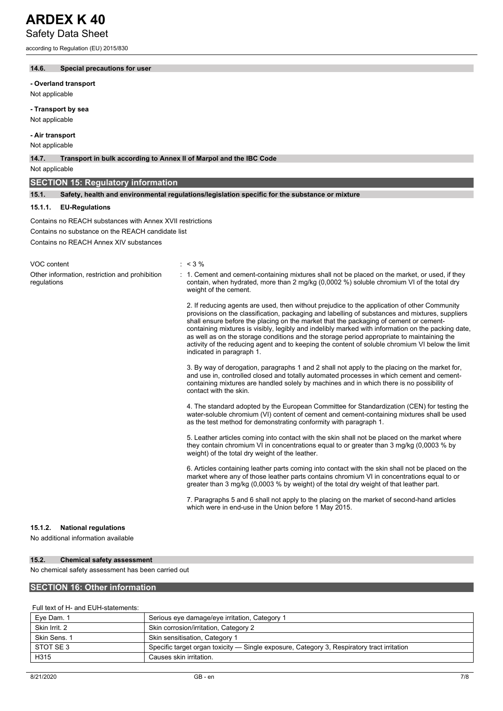according to Regulation (EU) 2015/830

### **14.6. Special precautions for user**

**- Overland transport**

Not applicable

### **- Transport by sea**

Not applicable

### **- Air transport**

Not applicable

#### **14.7. Transport in bulk according to Annex II of Marpol and the IBC Code**

Not applicable

### **SECTION 15: Regulatory information**

**15.1. Safety, health and environmental regulations/legislation specific for the substance or mixture**

#### **15.1.1. EU-Regulations**

Contains no REACH substances with Annex XVII restrictions

Contains no substance on the REACH candidate list

Contains no REACH Annex XIV substances

VOC content  $\sim$  < 3 %

regulations

Other information, restriction and prohibition : 1. Cement and cement-containing mixtures shall not be placed on the market, or used, if they contain, when hydrated, more than 2 mg/kg (0,0002 %) soluble chromium VI of the total dry weight of the cement.

> 2. If reducing agents are used, then without prejudice to the application of other Community provisions on the classification, packaging and labelling of substances and mixtures, suppliers shall ensure before the placing on the market that the packaging of cement or cementcontaining mixtures is visibly, legibly and indelibly marked with information on the packing date, as well as on the storage conditions and the storage period appropriate to maintaining the activity of the reducing agent and to keeping the content of soluble chromium VI below the limit indicated in paragraph 1.

3. By way of derogation, paragraphs 1 and 2 shall not apply to the placing on the market for, and use in, controlled closed and totally automated processes in which cement and cementcontaining mixtures are handled solely by machines and in which there is no possibility of contact with the skin.

4. The standard adopted by the European Committee for Standardization (CEN) for testing the water-soluble chromium (VI) content of cement and cement-containing mixtures shall be used as the test method for demonstrating conformity with paragraph 1.

5. Leather articles coming into contact with the skin shall not be placed on the market where they contain chromium VI in concentrations equal to or greater than 3 mg/kg (0,0003 % by weight) of the total dry weight of the leather.

6. Articles containing leather parts coming into contact with the skin shall not be placed on the market where any of those leather parts contains chromium VI in concentrations equal to or greater than 3 mg/kg (0,0003 % by weight) of the total dry weight of that leather part.

7. Paragraphs 5 and 6 shall not apply to the placing on the market of second-hand articles which were in end-use in the Union before 1 May 2015.

#### **15.1.2. National regulations**

No additional information available

#### **15.2. Chemical safety assessment**

No chemical safety assessment has been carried out

### **SECTION 16: Other information**

### Full text of H- and EUH-statements:

| Eye Dam. 1    | Serious eye damage/eye irritation, Category 1                                              |
|---------------|--------------------------------------------------------------------------------------------|
| Skin Irrit, 2 | Skin corrosion/irritation, Category 2                                                      |
| Skin Sens, 1  | Skin sensitisation, Category 1                                                             |
| STOT SE 3     | Specific target organ toxicity — Single exposure, Category 3, Respiratory tract irritation |
| H315          | Causes skin irritation.                                                                    |